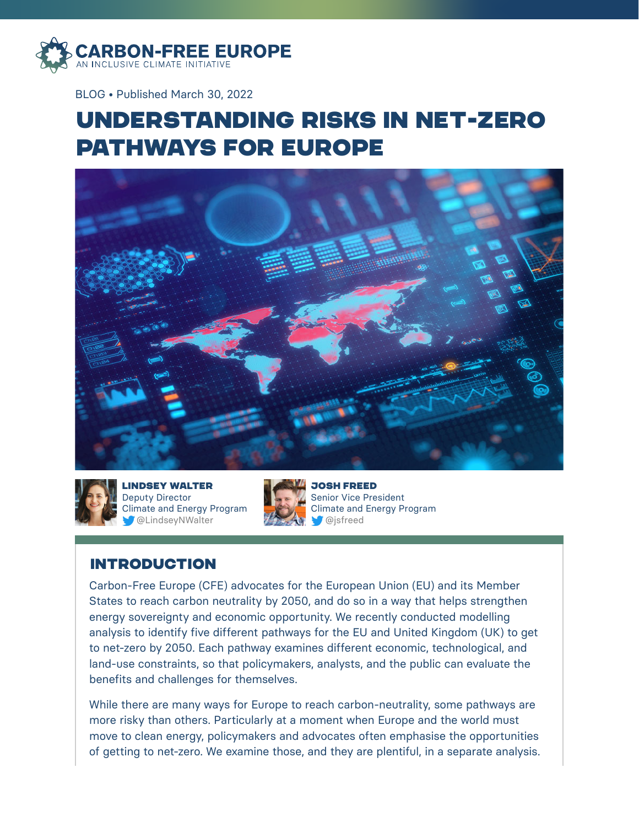

BLOG • Published March 30, 2022

# Understanding Risks in Net-Zero Pathways for Europe





lindsey walter Deputy Director Climate and Energy Program @LindseyNWalter



josh freed Senior Vice President Climate and Energy Program @jsfreed

# **INTRODUCTION**

Carbon-Free Europe (CFE) advocates for the European Union (EU) and its Member States to reach carbon neutrality by 2050, and do so in a way that helps strengthen energy sovereignty and economic opportunity. We recently conducted modelling analysis to identify five different pathways for the EU and United Kingdom (UK) to get to net-zero by 2050. Each pathway examines different economic, technological, and land-use constraints, so that policymakers, analysts, and the public can evaluate the benefits and challenges for themselves.

While there are many ways for Europe to reach carbon-neutrality, some pathways are more risky than others. Particularly at a moment when Europe and the world must move to clean energy, policymakers and advocates often emphasise the opportunities of getting to net-zero. We examine those, and they are plentiful, in a separate analysis.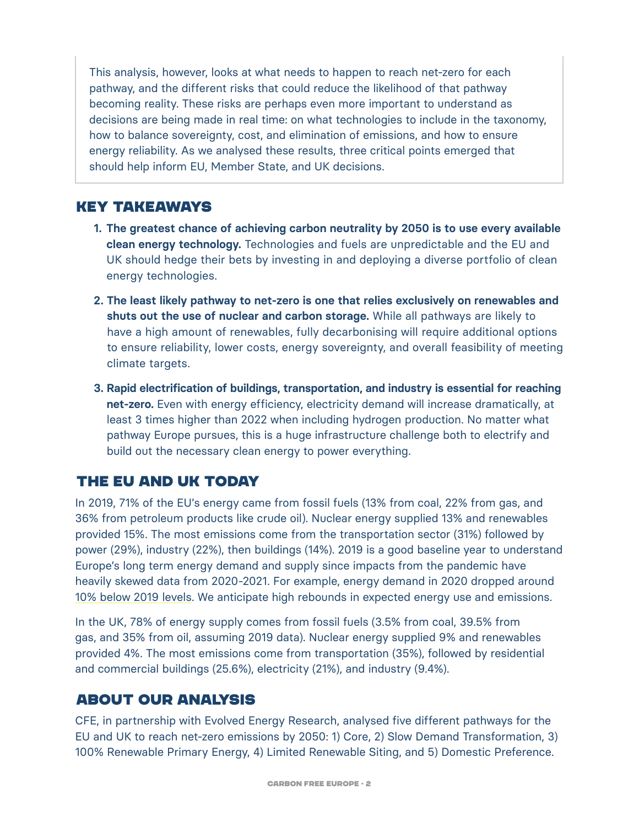This analysis, however, looks at what needs to happen to reach net-zero for each pathway, and the different risks that could reduce the likelihood of that pathway becoming reality. These risks are perhaps even more important to understand as decisions are being made in real time: on what technologies to include in the taxonomy, how to balance sovereignty, cost, and elimination of emissions, and how to ensure energy reliability. As we analysed these results, three critical points emerged that should help inform EU, Member State, and UK decisions.

## Key Takeaways

- **1. The greatest chance of achieving carbon neutrality by 2050 is to use every available clean energy technology.** Technologies and fuels are unpredictable and the EU and UK should hedge their bets by investing in and deploying a diverse portfolio of clean energy technologies.
- **2. The least likely pathway to net-zero is one that relies exclusively on renewables and shuts out the use of nuclear and carbon storage.** While all pathways are likely to have a high amount of renewables, fully decarbonising will require additional options to ensure reliability, lower costs, energy sovereignty, and overall feasibility of meeting climate targets.
- **3. Rapid electrification of buildings, transportation, and industry is essential for reaching net-zero.** Even with energy efficiency, electricity demand will increase dramatically, at least 3 times higher than 2022 when including hydrogen production. No matter what pathway Europe pursues, this is a huge infrastructure challenge both to electrify and build out the necessary clean energy to power everything.

## The EU and UK Today

In 2019, 71% of the EU's energy came from fossil fuels (13% from coal, 22% from gas, and 36% from petroleum products like crude oil). Nuclear energy supplied 13% and renewables provided 15%. The most emissions come from the transportation sector (31%) followed by power (29%), industry (22%), then buildings (14%). 2019 is a good baseline year to understand Europe's long term energy demand and supply since impacts from the pandemic have heavily skewed data from 2020-2021. For example, energy demand in 2020 dropped around [10% below 2019 levels.](https://www.iea.org/reports/european-union-2020) We anticipate high rebounds in expected energy use and emissions.

In the UK, 78% of energy supply comes from fossil fuels (3.5% from coal, 39.5% from gas, and 35% from oil, assuming 2019 data). Nuclear energy supplied 9% and renewables provided 4%. The most emissions come from transportation (35%), followed by residential and commercial buildings (25.6%), electricity (21%), and industry (9.4%).

## About Our Analysis

CFE, in partnership with Evolved Energy Research, analysed five different pathways for the EU and UK to reach net-zero emissions by 2050: 1) Core, 2) Slow Demand Transformation, 3) 100% Renewable Primary Energy, 4) Limited Renewable Siting, and 5) Domestic Preference.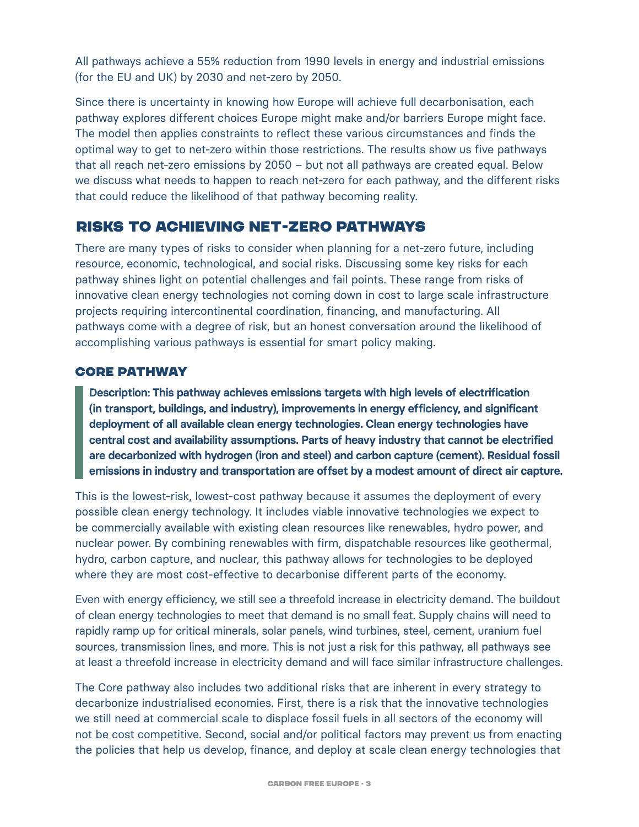All pathways achieve a 55% reduction from 1990 levels in energy and industrial emissions (for the EU and UK) by 2030 and net-zero by 2050.

Since there is uncertainty in knowing how Europe will achieve full decarbonisation, each pathway explores different choices Europe might make and/or barriers Europe might face. The model then applies constraints to reflect these various circumstances and finds the optimal way to get to net-zero within those restrictions. The results show us five pathways that all reach net-zero emissions by 2050 – but not all pathways are created equal. Below we discuss what needs to happen to reach net-zero for each pathway, and the different risks that could reduce the likelihood of that pathway becoming reality.

## Risks to Achieving Net-Zero Pathways

There are many types of risks to consider when planning for a net-zero future, including resource, economic, technological, and social risks. Discussing some key risks for each pathway shines light on potential challenges and fail points. These range from risks of innovative clean energy technologies not coming down in cost to large scale infrastructure projects requiring intercontinental coordination, financing, and manufacturing. All pathways come with a degree of risk, but an honest conversation around the likelihood of accomplishing various pathways is essential for smart policy making.

### **CORE PATHWAY**

**Description: This pathway achieves emissions targets with high levels of electrification (in transport, buildings, and industry), improvements in energy efficiency, and significant deployment of all available clean energy technologies. Clean energy technologies have central cost and availability assumptions. Parts of heavy industry that cannot be electrified are decarbonized with hydrogen (iron and steel) and carbon capture (cement). Residual fossil emissions in industry and transportation are offset by a modest amount of direct air capture.** 

This is the lowest-risk, lowest-cost pathway because it assumes the deployment of every possible clean energy technology. It includes viable innovative technologies we expect to be commercially available with existing clean resources like renewables, hydro power, and nuclear power. By combining renewables with firm, dispatchable resources like geothermal, hydro, carbon capture, and nuclear, this pathway allows for technologies to be deployed where they are most cost-effective to decarbonise different parts of the economy.

Even with energy efficiency, we still see a threefold increase in electricity demand. The buildout of clean energy technologies to meet that demand is no small feat. Supply chains will need to rapidly ramp up for critical minerals, solar panels, wind turbines, steel, cement, uranium fuel sources, transmission lines, and more. This is not just a risk for this pathway, all pathways see at least a threefold increase in electricity demand and will face similar infrastructure challenges.

The Core pathway also includes two additional risks that are inherent in every strategy to decarbonize industrialised economies. First, there is a risk that the innovative technologies we still need at commercial scale to displace fossil fuels in all sectors of the economy will not be cost competitive. Second, social and/or political factors may prevent us from enacting the policies that help us develop, finance, and deploy at scale clean energy technologies that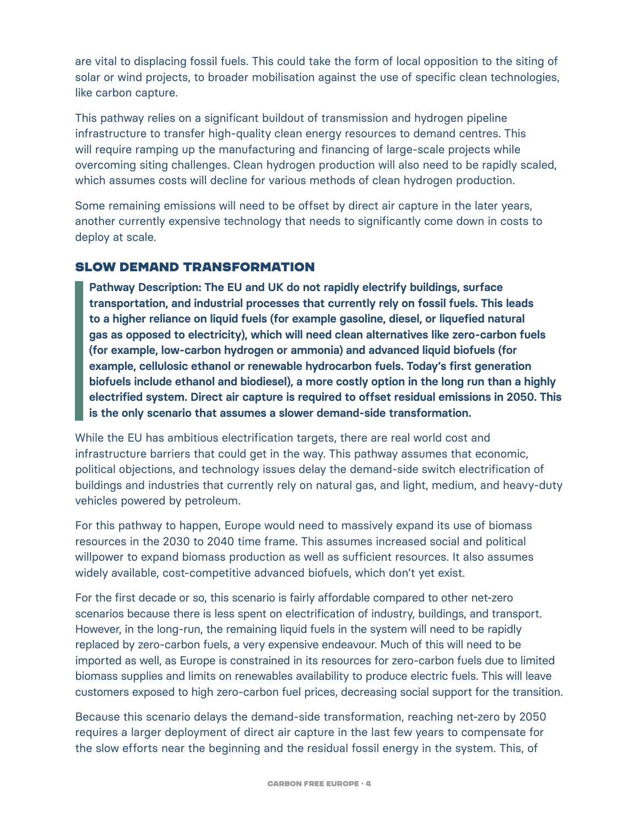are vital to displacing fossil fuels. This could take the form of local opposition to the siting of solar or wind projects, to broader mobilisation against the use of specific clean technologies, like carbon capture.

This pathway relies on a significant buildout of transmission and hydrogen pipeline infrastructure to transfer high-quality clean energy resources to demand centres. This will require ramping up the manufacturing and financing of large-scale projects while overcoming siting challenges. Clean hydrogen production will also need to be rapidly scaled, which assumes costs will decline for various methods of clean hydrogen production.

Some remaining emissions will need to be offset by direct air capture in the later years, another currently expensive technology that needs to significantly come down in costs to deploy at scale.

## Slow Demand Transformation

**Pathway Description: The EU and UK do not rapidly electrify buildings, surface transportation, and industrial processes that currently rely on fossil fuels. This leads to a higher reliance on liquid fuels (for example gasoline, diesel, or liquefied natural gas as opposed to electricity), which will need clean alternatives like zero-carbon fuels (for example, low-carbon hydrogen or ammonia) and advanced liquid biofuels (for example, cellulosic ethanol or renewable hydrocarbon fuels. Today's first generation biofuels include ethanol and biodiesel), a more costly option in the long run than a highly electrified system. Direct air capture is required to offset residual emissions in 2050. This is the only scenario that assumes a slower demand-side transformation.**

While the EU has ambitious electrification targets, there are real world cost and infrastructure barriers that could get in the way. This pathway assumes that economic, political objections, and technology issues delay the demand-side switch electrification of buildings and industries that currently rely on natural gas, and light, medium, and heavy-duty vehicles powered by petroleum.

For this pathway to happen, Europe would need to massively expand its use of biomass resources in the 2030 to 2040 time frame. This assumes increased social and political willpower to expand biomass production as well as sufficient resources. It also assumes widely available, cost-competitive advanced biofuels, which don't yet exist.

For the first decade or so, this scenario is fairly affordable compared to other net-zero scenarios because there is less spent on electrification of industry, buildings, and transport. However, in the long-run, the remaining liquid fuels in the system will need to be rapidly replaced by zero-carbon fuels, a very expensive endeavour. Much of this will need to be imported as well, as Europe is constrained in its resources for zero-carbon fuels due to limited biomass supplies and limits on renewables availability to produce electric fuels. This will leave customers exposed to high zero-carbon fuel prices, decreasing social support for the transition.

Because this scenario delays the demand-side transformation, reaching net-zero by 2050 requires a larger deployment of direct air capture in the last few years to compensate for the slow efforts near the beginning and the residual fossil energy in the system. This, of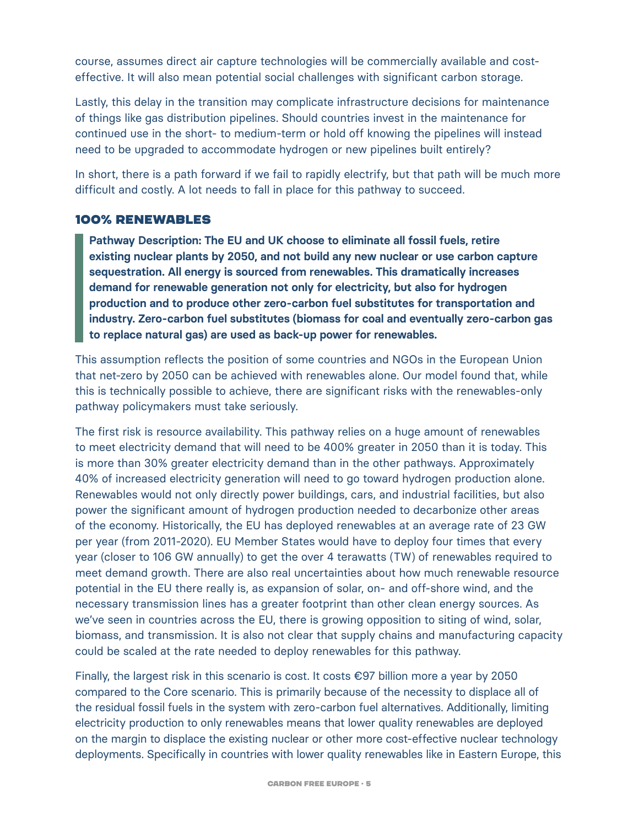course, assumes direct air capture technologies will be commercially available and costeffective. It will also mean potential social challenges with significant carbon storage.

Lastly, this delay in the transition may complicate infrastructure decisions for maintenance of things like gas distribution pipelines. Should countries invest in the maintenance for continued use in the short- to medium-term or hold off knowing the pipelines will instead need to be upgraded to accommodate hydrogen or new pipelines built entirely?

In short, there is a path forward if we fail to rapidly electrify, but that path will be much more difficult and costly. A lot needs to fall in place for this pathway to succeed.

#### 100% Renewables

**Pathway Description: The EU and UK choose to eliminate all fossil fuels, retire existing nuclear plants by 2050, and not build any new nuclear or use carbon capture sequestration. All energy is sourced from renewables. This dramatically increases demand for renewable generation not only for electricity, but also for hydrogen production and to produce other zero-carbon fuel substitutes for transportation and industry. Zero-carbon fuel substitutes (biomass for coal and eventually zero-carbon gas to replace natural gas) are used as back-up power for renewables.** 

This assumption reflects the position of some countries and NGOs in the European Union that net-zero by 2050 can be achieved with renewables alone. Our model found that, while this is technically possible to achieve, there are significant risks with the renewables-only pathway policymakers must take seriously.

The first risk is resource availability. This pathway relies on a huge amount of renewables to meet electricity demand that will need to be 400% greater in 2050 than it is today. This is more than 30% greater electricity demand than in the other pathways. Approximately 40% of increased electricity generation will need to go toward hydrogen production alone. Renewables would not only directly power buildings, cars, and industrial facilities, but also power the significant amount of hydrogen production needed to decarbonize other areas of the economy. Historically, the EU has deployed renewables at an average rate of 23 GW per year (from 2011-2020). EU Member States would have to deploy four times that every year (closer to 106 GW annually) to get the over 4 terawatts (TW) of renewables required to meet demand growth. There are also real uncertainties about how much renewable resource potential in the EU there really is, as expansion of solar, on- and off-shore wind, and the necessary transmission lines has a greater footprint than other clean energy sources. As we've seen in countries across the EU, there is growing opposition to siting of wind, solar, biomass, and transmission. It is also not clear that supply chains and manufacturing capacity could be scaled at the rate needed to deploy renewables for this pathway.

Finally, the largest risk in this scenario is cost. It costs €97 billion more a year by 2050 compared to the Core scenario. This is primarily because of the necessity to displace all of the residual fossil fuels in the system with zero-carbon fuel alternatives. Additionally, limiting electricity production to only renewables means that lower quality renewables are deployed on the margin to displace the existing nuclear or other more cost-effective nuclear technology deployments. Specifically in countries with lower quality renewables like in Eastern Europe, this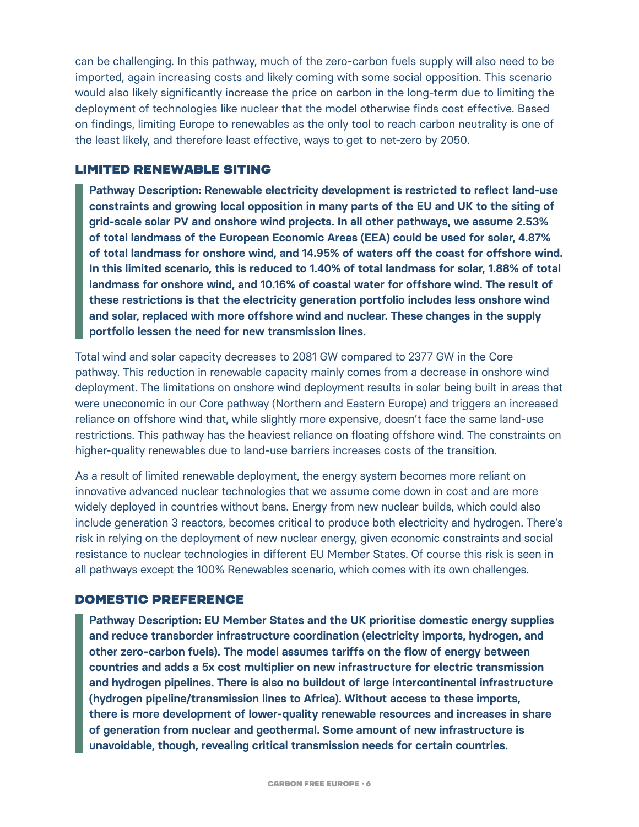can be challenging. In this pathway, much of the zero-carbon fuels supply will also need to be imported, again increasing costs and likely coming with some social opposition. This scenario would also likely significantly increase the price on carbon in the long-term due to limiting the deployment of technologies like nuclear that the model otherwise finds cost effective. Based on findings, limiting Europe to renewables as the only tool to reach carbon neutrality is one of the least likely, and therefore least effective, ways to get to net-zero by 2050.

#### Limited Renewable Siting

**Pathway Description: Renewable electricity development is restricted to reflect land-use constraints and growing local opposition in many parts of the EU and UK to the siting of grid-scale solar PV and onshore wind projects. In all other pathways, we assume 2.53% of total landmass of the European Economic Areas (EEA) could be used for solar, 4.87% of total landmass for onshore wind, and 14.95% of waters off the coast for offshore wind. In this limited scenario, this is reduced to 1.40% of total landmass for solar, 1.88% of total landmass for onshore wind, and 10.16% of coastal water for offshore wind. The result of these restrictions is that the electricity generation portfolio includes less onshore wind and solar, replaced with more offshore wind and nuclear. These changes in the supply portfolio lessen the need for new transmission lines.**

Total wind and solar capacity decreases to 2081 GW compared to 2377 GW in the Core pathway. This reduction in renewable capacity mainly comes from a decrease in onshore wind deployment. The limitations on onshore wind deployment results in solar being built in areas that were uneconomic in our Core pathway (Northern and Eastern Europe) and triggers an increased reliance on offshore wind that, while slightly more expensive, doesn't face the same land-use restrictions. This pathway has the heaviest reliance on floating offshore wind. The constraints on higher-quality renewables due to land-use barriers increases costs of the transition.

As a result of limited renewable deployment, the energy system becomes more reliant on innovative advanced nuclear technologies that we assume come down in cost and are more widely deployed in countries without bans. Energy from new nuclear builds, which could also include generation 3 reactors, becomes critical to produce both electricity and hydrogen. There's risk in relying on the deployment of new nuclear energy, given economic constraints and social resistance to nuclear technologies in different EU Member States. Of course this risk is seen in all pathways except the 100% Renewables scenario, which comes with its own challenges.

#### Domestic Preference

**Pathway Description: EU Member States and the UK prioritise domestic energy supplies and reduce transborder infrastructure coordination (electricity imports, hydrogen, and other zero-carbon fuels). The model assumes tariffs on the flow of energy between countries and adds a 5x cost multiplier on new infrastructure for electric transmission and hydrogen pipelines. There is also no buildout of large intercontinental infrastructure (hydrogen pipeline/transmission lines to Africa). Without access to these imports, there is more development of lower-quality renewable resources and increases in share of generation from nuclear and geothermal. Some amount of new infrastructure is unavoidable, though, revealing critical transmission needs for certain countries.**